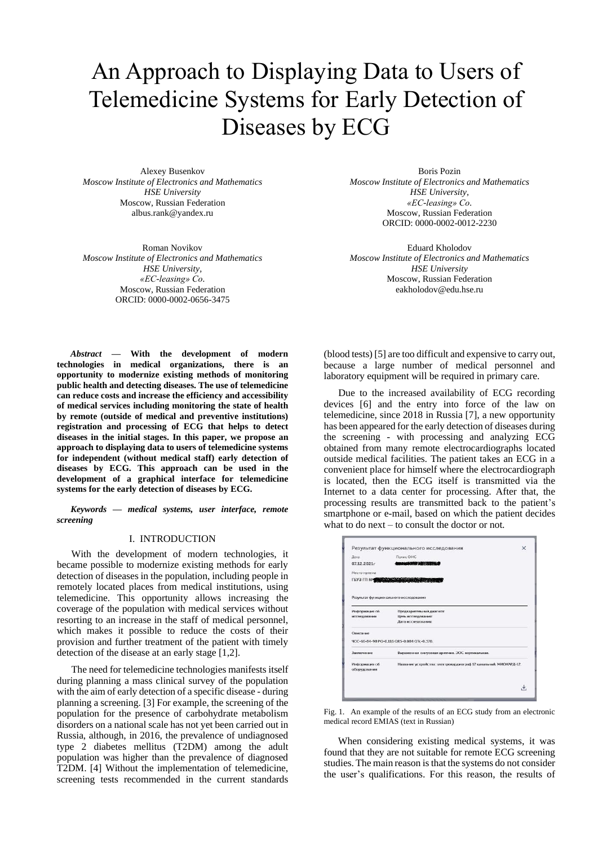# An Approach to Displaying Data to Users of Telemedicine Systems for Early Detection of Diseases by ECG

Alexey Busenkov *Moscow Institute of Electronics and Mathematics HSE University* Moscow, Russian Federation [albus.rank@yandex.ru](mailto:albus.rank@yandex.ru)

Roman Novikov *Moscow Institute of Electronics and Mathematics HSE University, «EC-leasing» Co.* Moscow, Russian Federation ORCID: 0000-0002-0656-3475

Boris Pozin *Moscow Institute of Electronics and Mathematics HSE University, «EC-leasing» Co.* Moscow, Russian Federation ORCID: 0000-0002-0012-2230

Eduard Kholodov *Moscow Institute of Electronics and Mathematics HSE University* Moscow, Russian Federation eakholodov@edu.hse.ru

*Abstract* **— With the development of modern technologies in medical organizations, there is an opportunity to modernize existing methods of monitoring public health and detecting diseases. The use of telemedicine can reduce costs and increase the efficiency and accessibility of medical services including monitoring the state of health by remote (outside of medical and preventive institutions) registration and processing of ECG that helps to detect diseases in the initial stages. In this paper, we propose an approach to displaying data to users of telemedicine systems for independent (without medical staff) early detection of diseases by ECG. This approach can be used in the development of a graphical interface for telemedicine systems for the early detection of diseases by ECG.**

*Keywords — medical systems, user interface, remote screening*

### I. INTRODUCTION

With the development of modern technologies, it became possible to modernize existing methods for early detection of diseases in the population, including people in remotely located places from medical institutions, using telemedicine. This opportunity allows increasing the coverage of the population with medical services without resorting to an increase in the staff of medical personnel, which makes it possible to reduce the costs of their provision and further treatment of the patient with timely detection of the disease at an early stage [1,2].

The need for telemedicine technologies manifests itself during planning a mass clinical survey of the population with the aim of early detection of a specific disease - during planning a screening. [3] For example, the screening of the population for the presence of carbohydrate metabolism disorders on a national scale has not yet been carried out in Russia, although, in 2016, the prevalence of undiagnosed type 2 diabetes mellitus (T2DM) among the adult population was higher than the prevalence of diagnosed T2DM. [4] Without the implementation of telemedicine, screening tests recommended in the current standards

(blood tests) [5] are too difficult and expensive to carry out, because a large number of medical personnel and laboratory equipment will be required in primary care.

Due to the increased availability of ECG recording devices [6] and the entry into force of the law on telemedicine, since 2018 in Russia [7], a new opportunity has been appeared for the early detection of diseases during the screening - with processing and analyzing ECG obtained from many remote electrocardiographs located outside medical facilities. The patient takes an ECG in a convenient place for himself where the electrocardiograph is located, then the ECG itself is transmitted via the Internet to a data center for processing. After that, the processing results are transmitted back to the patient's smartphone or e-mail, based on which the patient decides what to do next – to consult the doctor or not.

| Результат функционального исследования |                                            |
|----------------------------------------|--------------------------------------------|
| Информация об                          | Предварительный диагноз:                   |
|                                        | Дата исследования:                         |
| Описание                               |                                            |
|                                        |                                            |
|                                        | 4CC-66-84-98 PQ-0.116 QRS-0.084 QTc-0.370. |
|                                        |                                            |
|                                        |                                            |
|                                        |                                            |
|                                        |                                            |
|                                        |                                            |
|                                        |                                            |
|                                        |                                            |
|                                        |                                            |
|                                        |                                            |
|                                        |                                            |
|                                        |                                            |
|                                        |                                            |
|                                        |                                            |
|                                        |                                            |
|                                        |                                            |
|                                        |                                            |
|                                        |                                            |
|                                        |                                            |
| исследовании                           | Цель исследования:                         |
|                                        |                                            |

Fig. 1. An example of the results of an ECG study from an electronic medical record EMIAS (text in Russian)

When considering existing medical systems, it was found that they are not suitable for remote ECG screening studies. The main reason is that the systems do not consider the user's qualifications. For this reason, the results of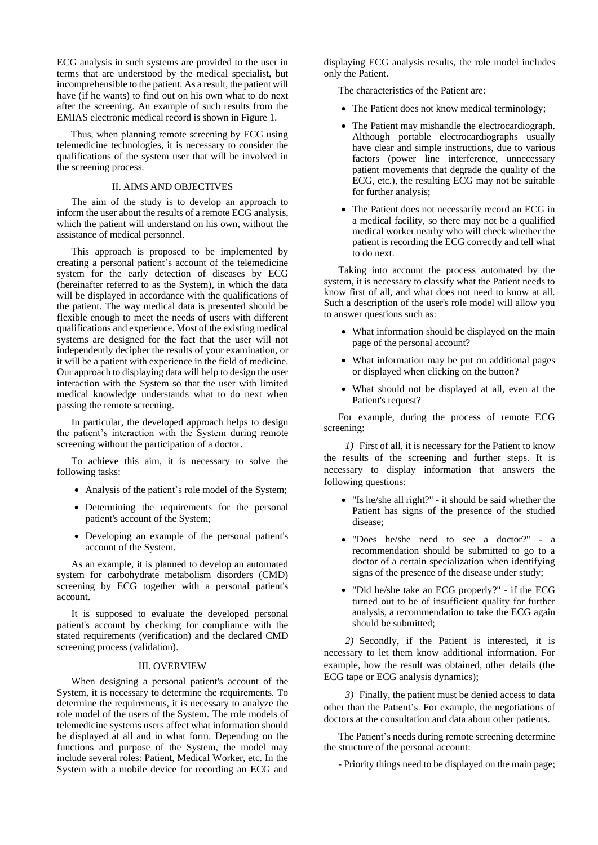ECG analysis in such systems are provided to the user in terms that are understood by the medical specialist, but incomprehensible to the patient. As a result, the patient will have (if he wants) to find out on his own what to do next after the screening. An example of such results from the EMIAS electronic medical record is shown in Figure 1.

Thus, when planning remote screening by ECG using telemedicine technologies, it is necessary to consider the qualifications of the system user that will be involved in the screening process.

## II. AIMS AND OBJECTIVES

The aim of the study is to develop an approach to inform the user about the results of a remote ECG analysis, which the patient will understand on his own, without the assistance of medical personnel.

This approach is proposed to be implemented by creating a personal patient's account of the telemedicine system for the early detection of diseases by ECG (hereinafter referred to as the System), in which the data will be displayed in accordance with the qualifications of the patient. The way medical data is presented should be flexible enough to meet the needs of users with different qualifications and experience. Most of the existing medical systems are designed for the fact that the user will not independently decipher the results of your examination, or it will be a patient with experience in the field of medicine. Our approach to displaying data will help to design the user interaction with the System so that the user with limited medical knowledge understands what to do next when passing the remote screening.

In particular, the developed approach helps to design the patient's interaction with the System during remote screening without the participation of a doctor.

To achieve this aim, it is necessary to solve the following tasks:

- Analysis of the patient's role model of the System;
- Determining the requirements for the personal patient's account of the System;
- Developing an example of the personal patient's account of the System.

As an example, it is planned to develop an automated system for carbohydrate metabolism disorders (CMD) screening by ECG together with a personal patient's account.

It is supposed to evaluate the developed personal patient's account by checking for compliance with the stated requirements (verification) and the declared CMD screening process (validation).

## III. OVERVIEW

When designing a personal patient's account of the System, it is necessary to determine the requirements. To determine the requirements, it is necessary to analyze the role model of the users of the System. The role models of telemedicine systems users affect what information should be displayed at all and in what form. Depending on the functions and purpose of the System, the model may include several roles: Patient, Medical Worker, etc. In the System with a mobile device for recording an ECG and

displaying ECG analysis results, the role model includes only the Patient.

The characteristics of the Patient are:

- The Patient does not know medical terminology;
- The Patient may mishandle the electrocardiograph. Although portable electrocardiographs usually have clear and simple instructions, due to various factors (power line interference, unnecessary patient movements that degrade the quality of the ECG, etc.), the resulting ECG may not be suitable for further analysis;
- The Patient does not necessarily record an ECG in a medical facility, so there may not be a qualified medical worker nearby who will check whether the patient is recording the ECG correctly and tell what to do next.

Taking into account the process automated by the system, it is necessary to classify what the Patient needs to know first of all, and what does not need to know at all. Such a description of the user's role model will allow you to answer questions such as:

- What information should be displayed on the main page of the personal account?
- What information may be put on additional pages or displayed when clicking on the button?
- What should not be displayed at all, even at the Patient's request?

For example, during the process of remote ECG screening:

*1)* First of all, it is necessary for the Patient to know the results of the screening and further steps. It is necessary to display information that answers the following questions:

- "Is he/she all right?" it should be said whether the Patient has signs of the presence of the studied disease;
- "Does he/she need to see a doctor?" a recommendation should be submitted to go to a doctor of a certain specialization when identifying signs of the presence of the disease under study;
- "Did he/she take an ECG properly?" if the ECG turned out to be of insufficient quality for further analysis, a recommendation to take the ECG again should be submitted;

*2)* Secondly, if the Patient is interested, it is necessary to let them know additional information. For example, how the result was obtained, other details (the ECG tape or ECG analysis dynamics);

*3)* Finally, the patient must be denied access to data other than the Patient's. For example, the negotiations of doctors at the consultation and data about other patients.

The Patient's needs during remote screening determine the structure of the personal account:

- Priority things need to be displayed on the main page;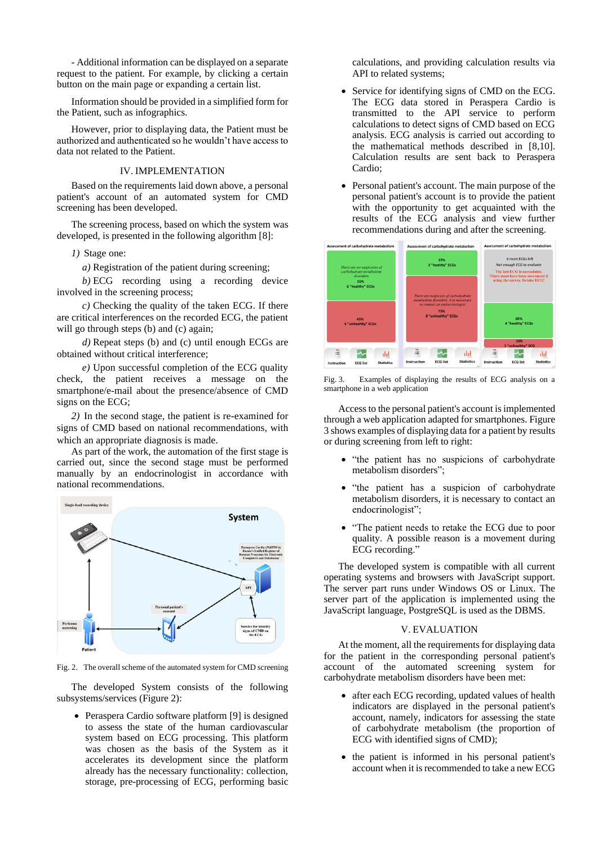- Additional information can be displayed on a separate request to the patient. For example, by clicking a certain button on the main page or expanding a certain list.

Information should be provided in a simplified form for the Patient, such as infographics.

However, prior to displaying data, the Patient must be authorized and authenticated so he wouldn't have access to data not related to the Patient.

## IV. IMPLEMENTATION

Based on the requirements laid down above, a personal patient's account of an automated system for CMD screening has been developed.

The screening process, based on which the system was developed, is presented in the following algorithm [8]:

*1)* Stage one:

*a)* Registration of the patient during screening;

*b)* ECG recording using a recording device involved in the screening process;

*c)* Checking the quality of the taken ECG. If there are critical interferences on the recorded ECG, the patient will go through steps (b) and (c) again;

*d)* Repeat steps (b) and (c) until enough ECGs are obtained without critical interference;

*e)* Upon successful completion of the ECG quality check, the patient receives a message on the smartphone/e-mail about the presence/absence of CMD signs on the ECG;

*2)* In the second stage, the patient is re-examined for signs of CMD based on national recommendations, with which an appropriate diagnosis is made.

As part of the work, the automation of the first stage is carried out, since the second stage must be performed manually by an endocrinologist in accordance with national recommendations.



Fig. 2. The overall scheme of the automated system for CMD screening

The developed System consists of the following subsystems/services (Figure 2):

• Peraspera Cardio software platform [9] is designed to assess the state of the human cardiovascular system based on ECG processing. This platform was chosen as the basis of the System as it accelerates its development since the platform already has the necessary functionality: collection, storage, pre-processing of ECG, performing basic

calculations, and providing calculation results via API to related systems:

- Service for identifying signs of CMD on the ECG. The ECG data stored in Peraspera Cardio is transmitted to the API service to perform calculations to detect signs of CMD based on ECG analysis. ECG analysis is carried out according to the mathematical methods described in [8,10]. Calculation results are sent back to Peraspera Cardio;
- Personal patient's account. The main purpose of the personal patient's account is to provide the patient with the opportunity to get acquainted with the results of the ECG analysis and view further recommendations during and after the screening.



Fig. 3. Examples of displaying the results of ECG analysis on a smartphone in a web application

Access to the personal patient's account is implemented through a web application adapted for smartphones. Figure 3 shows examples of displaying data for a patient by results or during screening from left to right:

- "the patient has no suspicions of carbohydrate metabolism disorders";
- "the patient has a suspicion of carbohydrate metabolism disorders, it is necessary to contact an endocrinologist";
- "The patient needs to retake the ECG due to poor quality. A possible reason is a movement during ECG recording."

The developed system is compatible with all current operating systems and browsers with JavaScript support. The server part runs under Windows OS or Linux. The server part of the application is implemented using the JavaScript language, PostgreSQL is used as the DBMS.

## V. EVALUATION

At the moment, all the requirements for displaying data for the patient in the corresponding personal patient's account of the automated screening system for carbohydrate metabolism disorders have been met:

- after each ECG recording, updated values of health indicators are displayed in the personal patient's account, namely, indicators for assessing the state of carbohydrate metabolism (the proportion of ECG with identified signs of CMD);
- the patient is informed in his personal patient's account when it is recommended to take a new ECG